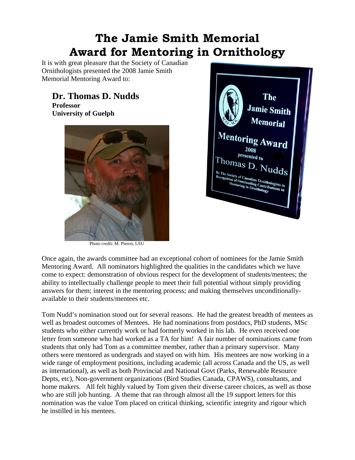## **The Jamie Smith Memorial Award for Mentoring in Ornithology**

It is with great pleasure that the Society of Canadian Ornithologists presented the 2008 Jamie Smith Memorial Mentoring Award to:

## **Dr. Thomas D. Nudds**

**Professor University of Guelph** 



Photo credit: M. Pieron, LSU



Once again, the awards committee had an exceptional cohort of nominees for the Jamie Smith Mentoring Award. All nominators highlighted the qualities in the candidates which we have come to expect: demonstration of obvious respect for the development of students/mentees; the ability to intellectually challenge people to meet their full potential without simply providing answers for them; interest in the mentoring process; and making themselves unconditionallyavailable to their students/mentees etc.

Tom Nudd's nomination stood out for several reasons. He had the greatest breadth of mentees as well as broadest outcomes of Mentees. He had nominations from postdocs, PhD students, MSc students who either currently work or had formerly worked in his lab. He even received one letter from someone who had worked as a TA for him! A fair number of nominations came from students that only had Tom as a committee member, rather than a primary supervisor. Many others were mentored as undergrads and stayed on with him. His mentees are now working in a wide range of employment positions, including academic (all across Canada and the US, as well as international), as well as both Provincial and National Govt (Parks, Renewable Resource Depts, etc), Non-government organizations (Bird Studies Canada, CPAWS), consultants, and home makers. All felt highly valued by Tom given their diverse career choices, as well as those who are still job hunting. A theme that ran through almost all the 19 support letters for this nomination was the value Tom placed on critical thinking, scientific integrity and rigour which he instilled in his mentees.